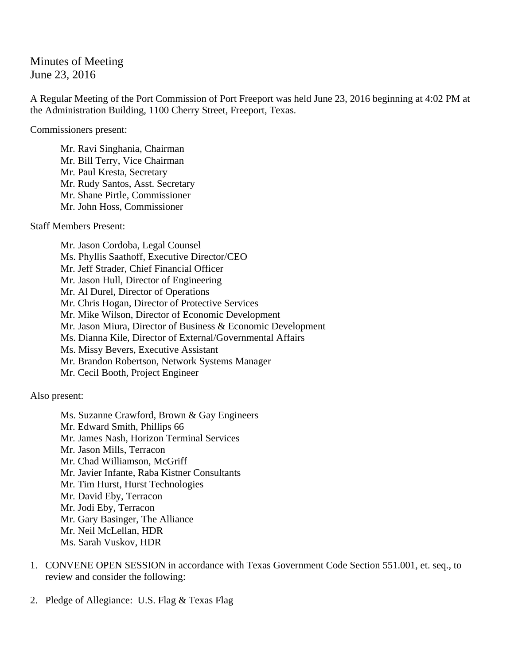Minutes of Meeting June 23, 2016

A Regular Meeting of the Port Commission of Port Freeport was held June 23, 2016 beginning at 4:02 PM at the Administration Building, 1100 Cherry Street, Freeport, Texas.

Commissioners present:

Mr. Ravi Singhania, Chairman Mr. Bill Terry, Vice Chairman Mr. Paul Kresta, Secretary Mr. Rudy Santos, Asst. Secretary Mr. Shane Pirtle, Commissioner Mr. John Hoss, Commissioner

Staff Members Present:

 Mr. Jason Cordoba, Legal Counsel Ms. Phyllis Saathoff, Executive Director/CEO Mr. Jeff Strader, Chief Financial Officer Mr. Jason Hull, Director of Engineering Mr. Al Durel, Director of Operations Mr. Chris Hogan, Director of Protective Services Mr. Mike Wilson, Director of Economic Development Mr. Jason Miura, Director of Business & Economic Development Ms. Dianna Kile, Director of External/Governmental Affairs Ms. Missy Bevers, Executive Assistant Mr. Brandon Robertson, Network Systems Manager Mr. Cecil Booth, Project Engineer

Also present:

 Ms. Suzanne Crawford, Brown & Gay Engineers Mr. Edward Smith, Phillips 66 Mr. James Nash, Horizon Terminal Services Mr. Jason Mills, Terracon Mr. Chad Williamson, McGriff Mr. Javier Infante, Raba Kistner Consultants Mr. Tim Hurst, Hurst Technologies Mr. David Eby, Terracon Mr. Jodi Eby, Terracon Mr. Gary Basinger, The Alliance Mr. Neil McLellan, HDR Ms. Sarah Vuskov, HDR

- 1. CONVENE OPEN SESSION in accordance with Texas Government Code Section 551.001, et. seq., to review and consider the following:
- 2. Pledge of Allegiance: U.S. Flag & Texas Flag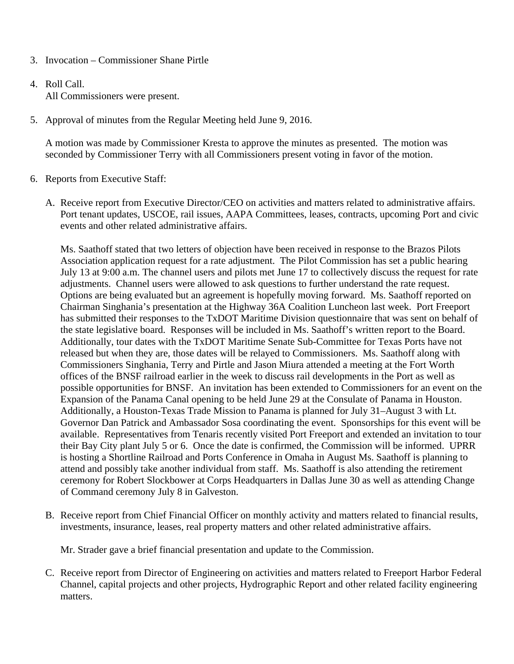- 3. Invocation Commissioner Shane Pirtle
- 4. Roll Call. All Commissioners were present.
- 5. Approval of minutes from the Regular Meeting held June 9, 2016.

A motion was made by Commissioner Kresta to approve the minutes as presented. The motion was seconded by Commissioner Terry with all Commissioners present voting in favor of the motion.

- 6. Reports from Executive Staff:
	- A. Receive report from Executive Director/CEO on activities and matters related to administrative affairs. Port tenant updates, USCOE, rail issues, AAPA Committees, leases, contracts, upcoming Port and civic events and other related administrative affairs.

Ms. Saathoff stated that two letters of objection have been received in response to the Brazos Pilots Association application request for a rate adjustment. The Pilot Commission has set a public hearing July 13 at 9:00 a.m. The channel users and pilots met June 17 to collectively discuss the request for rate adjustments. Channel users were allowed to ask questions to further understand the rate request. Options are being evaluated but an agreement is hopefully moving forward. Ms. Saathoff reported on Chairman Singhania's presentation at the Highway 36A Coalition Luncheon last week. Port Freeport has submitted their responses to the TxDOT Maritime Division questionnaire that was sent on behalf of the state legislative board. Responses will be included in Ms. Saathoff's written report to the Board. Additionally, tour dates with the TxDOT Maritime Senate Sub-Committee for Texas Ports have not released but when they are, those dates will be relayed to Commissioners. Ms. Saathoff along with Commissioners Singhania, Terry and Pirtle and Jason Miura attended a meeting at the Fort Worth offices of the BNSF railroad earlier in the week to discuss rail developments in the Port as well as possible opportunities for BNSF. An invitation has been extended to Commissioners for an event on the Expansion of the Panama Canal opening to be held June 29 at the Consulate of Panama in Houston. Additionally, a Houston-Texas Trade Mission to Panama is planned for July 31–August 3 with Lt. Governor Dan Patrick and Ambassador Sosa coordinating the event. Sponsorships for this event will be available. Representatives from Tenaris recently visited Port Freeport and extended an invitation to tour their Bay City plant July 5 or 6. Once the date is confirmed, the Commission will be informed. UPRR is hosting a Shortline Railroad and Ports Conference in Omaha in August Ms. Saathoff is planning to attend and possibly take another individual from staff. Ms. Saathoff is also attending the retirement ceremony for Robert Slockbower at Corps Headquarters in Dallas June 30 as well as attending Change of Command ceremony July 8 in Galveston.

B. Receive report from Chief Financial Officer on monthly activity and matters related to financial results, investments, insurance, leases, real property matters and other related administrative affairs.

Mr. Strader gave a brief financial presentation and update to the Commission.

C. Receive report from Director of Engineering on activities and matters related to Freeport Harbor Federal Channel, capital projects and other projects, Hydrographic Report and other related facility engineering matters.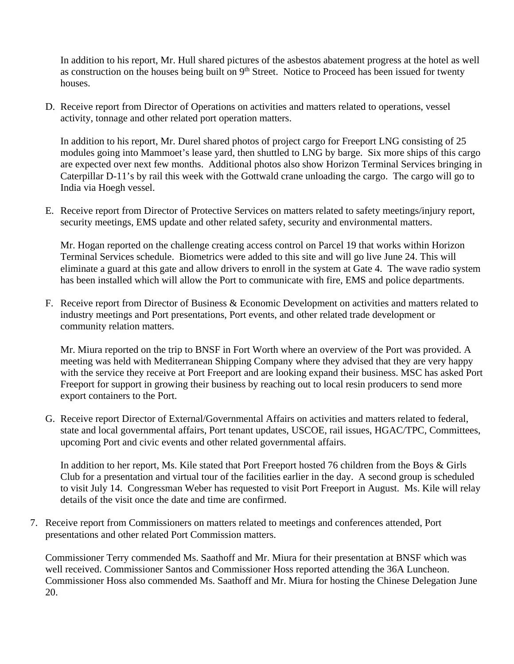In addition to his report, Mr. Hull shared pictures of the asbestos abatement progress at the hotel as well as construction on the houses being built on  $9<sup>th</sup>$  Street. Notice to Proceed has been issued for twenty houses.

D. Receive report from Director of Operations on activities and matters related to operations, vessel activity, tonnage and other related port operation matters.

In addition to his report, Mr. Durel shared photos of project cargo for Freeport LNG consisting of 25 modules going into Mammoet's lease yard, then shuttled to LNG by barge. Six more ships of this cargo are expected over next few months. Additional photos also show Horizon Terminal Services bringing in Caterpillar D-11's by rail this week with the Gottwald crane unloading the cargo. The cargo will go to India via Hoegh vessel.

E. Receive report from Director of Protective Services on matters related to safety meetings/injury report, security meetings, EMS update and other related safety, security and environmental matters.

Mr. Hogan reported on the challenge creating access control on Parcel 19 that works within Horizon Terminal Services schedule. Biometrics were added to this site and will go live June 24. This will eliminate a guard at this gate and allow drivers to enroll in the system at Gate 4. The wave radio system has been installed which will allow the Port to communicate with fire, EMS and police departments.

F. Receive report from Director of Business & Economic Development on activities and matters related to industry meetings and Port presentations, Port events, and other related trade development or community relation matters.

Mr. Miura reported on the trip to BNSF in Fort Worth where an overview of the Port was provided. A meeting was held with Mediterranean Shipping Company where they advised that they are very happy with the service they receive at Port Freeport and are looking expand their business. MSC has asked Port Freeport for support in growing their business by reaching out to local resin producers to send more export containers to the Port.

G. Receive report Director of External/Governmental Affairs on activities and matters related to federal, state and local governmental affairs, Port tenant updates, USCOE, rail issues, HGAC/TPC, Committees, upcoming Port and civic events and other related governmental affairs.

In addition to her report, Ms. Kile stated that Port Freeport hosted 76 children from the Boys & Girls Club for a presentation and virtual tour of the facilities earlier in the day. A second group is scheduled to visit July 14. Congressman Weber has requested to visit Port Freeport in August. Ms. Kile will relay details of the visit once the date and time are confirmed.

7. Receive report from Commissioners on matters related to meetings and conferences attended, Port presentations and other related Port Commission matters.

Commissioner Terry commended Ms. Saathoff and Mr. Miura for their presentation at BNSF which was well received. Commissioner Santos and Commissioner Hoss reported attending the 36A Luncheon. Commissioner Hoss also commended Ms. Saathoff and Mr. Miura for hosting the Chinese Delegation June 20.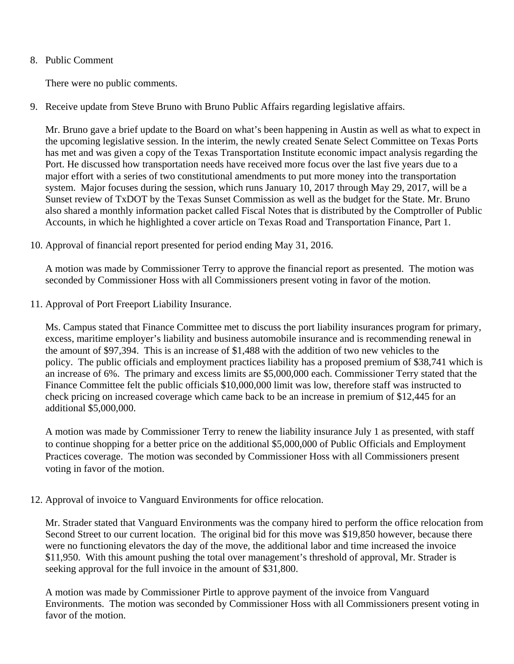## 8. Public Comment

There were no public comments.

9. Receive update from Steve Bruno with Bruno Public Affairs regarding legislative affairs.

Mr. Bruno gave a brief update to the Board on what's been happening in Austin as well as what to expect in the upcoming legislative session. In the interim, the newly created Senate Select Committee on Texas Ports has met and was given a copy of the Texas Transportation Institute economic impact analysis regarding the Port. He discussed how transportation needs have received more focus over the last five years due to a major effort with a series of two constitutional amendments to put more money into the transportation system. Major focuses during the session, which runs January 10, 2017 through May 29, 2017, will be a Sunset review of TxDOT by the Texas Sunset Commission as well as the budget for the State. Mr. Bruno also shared a monthly information packet called Fiscal Notes that is distributed by the Comptroller of Public Accounts, in which he highlighted a cover article on Texas Road and Transportation Finance, Part 1.

10. Approval of financial report presented for period ending May 31, 2016.

A motion was made by Commissioner Terry to approve the financial report as presented. The motion was seconded by Commissioner Hoss with all Commissioners present voting in favor of the motion.

11. Approval of Port Freeport Liability Insurance.

Ms. Campus stated that Finance Committee met to discuss the port liability insurances program for primary, excess, maritime employer's liability and business automobile insurance and is recommending renewal in the amount of \$97,394. This is an increase of \$1,488 with the addition of two new vehicles to the policy. The public officials and employment practices liability has a proposed premium of \$38,741 which is an increase of 6%. The primary and excess limits are \$5,000,000 each. Commissioner Terry stated that the Finance Committee felt the public officials \$10,000,000 limit was low, therefore staff was instructed to check pricing on increased coverage which came back to be an increase in premium of \$12,445 for an additional \$5,000,000.

A motion was made by Commissioner Terry to renew the liability insurance July 1 as presented, with staff to continue shopping for a better price on the additional \$5,000,000 of Public Officials and Employment Practices coverage. The motion was seconded by Commissioner Hoss with all Commissioners present voting in favor of the motion.

12. Approval of invoice to Vanguard Environments for office relocation.

Mr. Strader stated that Vanguard Environments was the company hired to perform the office relocation from Second Street to our current location. The original bid for this move was \$19,850 however, because there were no functioning elevators the day of the move, the additional labor and time increased the invoice \$11,950. With this amount pushing the total over management's threshold of approval, Mr. Strader is seeking approval for the full invoice in the amount of \$31,800.

A motion was made by Commissioner Pirtle to approve payment of the invoice from Vanguard Environments. The motion was seconded by Commissioner Hoss with all Commissioners present voting in favor of the motion.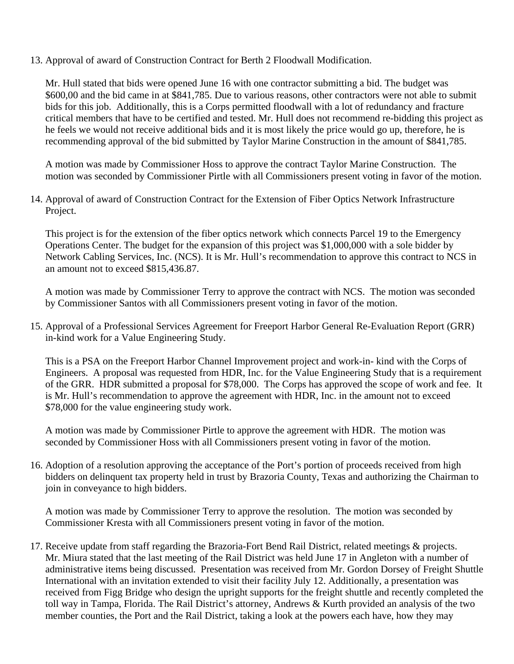13. Approval of award of Construction Contract for Berth 2 Floodwall Modification.

Mr. Hull stated that bids were opened June 16 with one contractor submitting a bid. The budget was \$600,00 and the bid came in at \$841,785. Due to various reasons, other contractors were not able to submit bids for this job. Additionally, this is a Corps permitted floodwall with a lot of redundancy and fracture critical members that have to be certified and tested. Mr. Hull does not recommend re-bidding this project as he feels we would not receive additional bids and it is most likely the price would go up, therefore, he is recommending approval of the bid submitted by Taylor Marine Construction in the amount of \$841,785.

A motion was made by Commissioner Hoss to approve the contract Taylor Marine Construction. The motion was seconded by Commissioner Pirtle with all Commissioners present voting in favor of the motion.

14. Approval of award of Construction Contract for the Extension of Fiber Optics Network Infrastructure Project.

This project is for the extension of the fiber optics network which connects Parcel 19 to the Emergency Operations Center. The budget for the expansion of this project was \$1,000,000 with a sole bidder by Network Cabling Services, Inc. (NCS). It is Mr. Hull's recommendation to approve this contract to NCS in an amount not to exceed \$815,436.87.

A motion was made by Commissioner Terry to approve the contract with NCS. The motion was seconded by Commissioner Santos with all Commissioners present voting in favor of the motion.

15. Approval of a Professional Services Agreement for Freeport Harbor General Re-Evaluation Report (GRR) in-kind work for a Value Engineering Study.

This is a PSA on the Freeport Harbor Channel Improvement project and work-in- kind with the Corps of Engineers. A proposal was requested from HDR, Inc. for the Value Engineering Study that is a requirement of the GRR. HDR submitted a proposal for \$78,000. The Corps has approved the scope of work and fee. It is Mr. Hull's recommendation to approve the agreement with HDR, Inc. in the amount not to exceed \$78,000 for the value engineering study work.

A motion was made by Commissioner Pirtle to approve the agreement with HDR. The motion was seconded by Commissioner Hoss with all Commissioners present voting in favor of the motion.

16. Adoption of a resolution approving the acceptance of the Port's portion of proceeds received from high bidders on delinquent tax property held in trust by Brazoria County, Texas and authorizing the Chairman to join in conveyance to high bidders.

A motion was made by Commissioner Terry to approve the resolution. The motion was seconded by Commissioner Kresta with all Commissioners present voting in favor of the motion.

17. Receive update from staff regarding the Brazoria-Fort Bend Rail District, related meetings & projects. Mr. Miura stated that the last meeting of the Rail District was held June 17 in Angleton with a number of administrative items being discussed. Presentation was received from Mr. Gordon Dorsey of Freight Shuttle International with an invitation extended to visit their facility July 12. Additionally, a presentation was received from Figg Bridge who design the upright supports for the freight shuttle and recently completed the toll way in Tampa, Florida. The Rail District's attorney, Andrews & Kurth provided an analysis of the two member counties, the Port and the Rail District, taking a look at the powers each have, how they may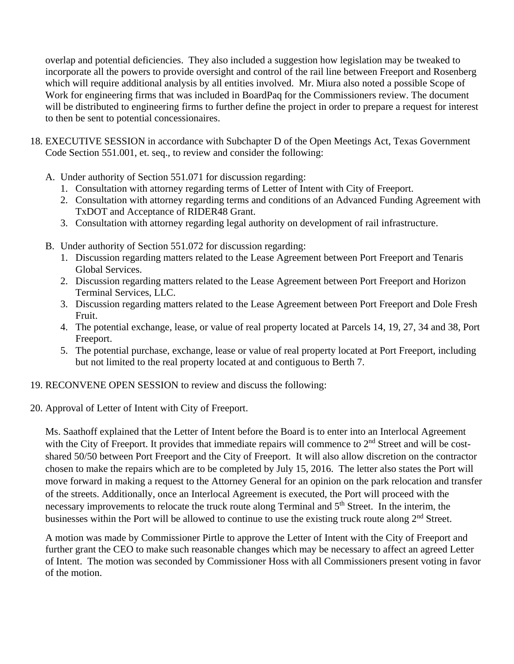overlap and potential deficiencies. They also included a suggestion how legislation may be tweaked to incorporate all the powers to provide oversight and control of the rail line between Freeport and Rosenberg which will require additional analysis by all entities involved. Mr. Miura also noted a possible Scope of Work for engineering firms that was included in BoardPaq for the Commissioners review. The document will be distributed to engineering firms to further define the project in order to prepare a request for interest to then be sent to potential concessionaires.

- 18. EXECUTIVE SESSION in accordance with Subchapter D of the Open Meetings Act, Texas Government Code Section 551.001, et. seq., to review and consider the following:
	- A. Under authority of Section 551.071 for discussion regarding:
		- 1. Consultation with attorney regarding terms of Letter of Intent with City of Freeport.
		- 2. Consultation with attorney regarding terms and conditions of an Advanced Funding Agreement with TxDOT and Acceptance of RIDER48 Grant.
		- 3. Consultation with attorney regarding legal authority on development of rail infrastructure.
	- B. Under authority of Section 551.072 for discussion regarding:
		- 1. Discussion regarding matters related to the Lease Agreement between Port Freeport and Tenaris Global Services.
		- 2. Discussion regarding matters related to the Lease Agreement between Port Freeport and Horizon Terminal Services, LLC.
		- 3. Discussion regarding matters related to the Lease Agreement between Port Freeport and Dole Fresh Fruit.
		- 4. The potential exchange, lease, or value of real property located at Parcels 14, 19, 27, 34 and 38, Port Freeport.
		- 5. The potential purchase, exchange, lease or value of real property located at Port Freeport, including but not limited to the real property located at and contiguous to Berth 7.
- 19. RECONVENE OPEN SESSION to review and discuss the following:
- 20. Approval of Letter of Intent with City of Freeport.

Ms. Saathoff explained that the Letter of Intent before the Board is to enter into an Interlocal Agreement with the City of Freeport. It provides that immediate repairs will commence to 2<sup>nd</sup> Street and will be costshared 50/50 between Port Freeport and the City of Freeport. It will also allow discretion on the contractor chosen to make the repairs which are to be completed by July 15, 2016. The letter also states the Port will move forward in making a request to the Attorney General for an opinion on the park relocation and transfer of the streets. Additionally, once an Interlocal Agreement is executed, the Port will proceed with the necessary improvements to relocate the truck route along Terminal and 5<sup>th</sup> Street. In the interim, the businesses within the Port will be allowed to continue to use the existing truck route along 2<sup>nd</sup> Street.

A motion was made by Commissioner Pirtle to approve the Letter of Intent with the City of Freeport and further grant the CEO to make such reasonable changes which may be necessary to affect an agreed Letter of Intent. The motion was seconded by Commissioner Hoss with all Commissioners present voting in favor of the motion.